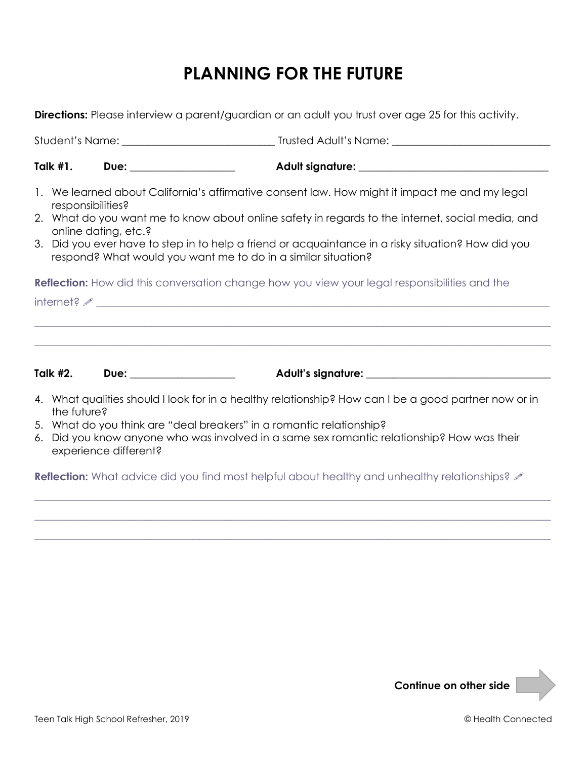## **PLANNING FOR THE FUTURE**

Student's Name: **\_\_\_\_\_\_\_\_\_\_\_\_\_\_\_\_\_\_\_\_\_\_\_\_\_\_\_\_\_** Trusted Adult's Name: **\_\_\_\_\_\_\_\_\_\_\_\_\_\_\_\_\_\_\_\_\_\_\_\_\_\_\_\_\_\_**

**Directions:** Please interview a parent/guardian or an adult you trust over age 25 for this activity.

|                | Talk $#1.$        | Due: <b>Due</b>                                                                            | <b>Adult signature:</b>                                                                            |
|----------------|-------------------|--------------------------------------------------------------------------------------------|----------------------------------------------------------------------------------------------------|
| $\mathbf{1}$ . | responsibilities? | We learned about California's affirmative consent law. How might it impact me and my legal |                                                                                                    |
|                |                   | online dating, etc.?                                                                       | 2. What do you want me to know about online safety in regards to the internet, social media, and   |
|                |                   | respond? What would you want me to do in a similar situation?                              | 3. Did you ever have to step in to help a friend or acquaintance in a risky situation? How did you |

**Reflection:** How did this conversation change how you view your legal responsibilities and the

 $\blacksquare$ internet?  $\mathscr{I}$ 

**Talk #2. Due: \_\_\_\_\_\_\_\_\_\_\_\_\_\_\_\_\_\_\_\_ Adult's signature: \_\_\_\_\_\_\_\_\_\_\_\_\_\_\_\_\_\_\_\_\_\_\_\_\_\_\_\_\_\_\_\_\_\_\_**

4. What qualities should I look for in a healthy relationship? How can I be a good partner now or in the future?

**\_\_\_\_\_\_\_\_\_\_\_\_\_\_\_\_\_\_\_\_\_\_\_\_\_\_\_\_\_\_\_\_\_\_\_\_\_\_\_\_\_\_\_\_\_\_\_\_\_\_\_\_\_\_\_\_\_\_\_\_\_\_\_\_\_\_\_\_\_\_\_\_\_\_\_\_\_\_\_\_\_\_\_\_\_\_\_\_\_\_\_\_\_\_\_\_\_\_**

**\_\_\_\_\_\_\_\_\_\_\_\_\_\_\_\_\_\_\_\_\_\_\_\_\_\_\_\_\_\_\_\_\_\_\_\_\_\_\_\_\_\_\_\_\_\_\_\_\_\_\_\_\_\_\_\_\_\_\_\_\_\_\_\_\_\_\_\_\_\_\_\_\_\_\_\_\_\_\_\_\_\_\_\_\_\_\_\_\_\_\_\_\_\_\_\_\_\_**

- 5. What do you think are "deal breakers" in a romantic relationship?
- 6. Did you know anyone who was involved in a same sex romantic relationship? How was their experience different?

**Reflection:** What advice did you find most helpful about healthy and unhealthy relationships?  $\mathscr{S}$ 

**\_\_\_\_\_\_\_\_\_\_\_\_\_\_\_\_\_\_\_\_\_\_\_\_\_\_\_\_\_\_\_\_\_\_\_\_\_\_\_\_\_\_\_\_\_\_\_\_\_\_\_\_\_\_\_\_\_\_\_\_\_\_\_\_\_\_\_\_\_\_\_\_\_\_\_\_\_\_\_\_\_\_\_\_\_\_\_\_\_\_\_\_\_\_\_\_\_\_**

**\_\_\_\_\_\_\_\_\_\_\_\_\_\_\_\_\_\_\_\_\_\_\_\_\_\_\_\_\_\_\_\_\_\_\_\_\_\_\_\_\_\_\_\_\_\_\_\_\_\_\_\_\_\_\_\_\_\_\_\_\_\_\_\_\_\_\_\_\_\_\_\_\_\_\_\_\_\_\_\_\_\_\_\_\_\_\_\_\_\_\_\_\_\_\_\_\_\_**

**\_\_\_\_\_\_\_\_\_\_\_\_\_\_\_\_\_\_\_\_\_\_\_\_\_\_\_\_\_\_\_\_\_\_\_\_\_\_\_\_\_\_\_\_\_\_\_\_\_\_\_\_\_\_\_\_\_\_\_\_\_\_\_\_\_\_\_\_\_\_\_\_\_\_\_\_\_\_\_\_\_\_\_\_\_\_\_\_\_\_\_\_\_\_\_\_\_\_**